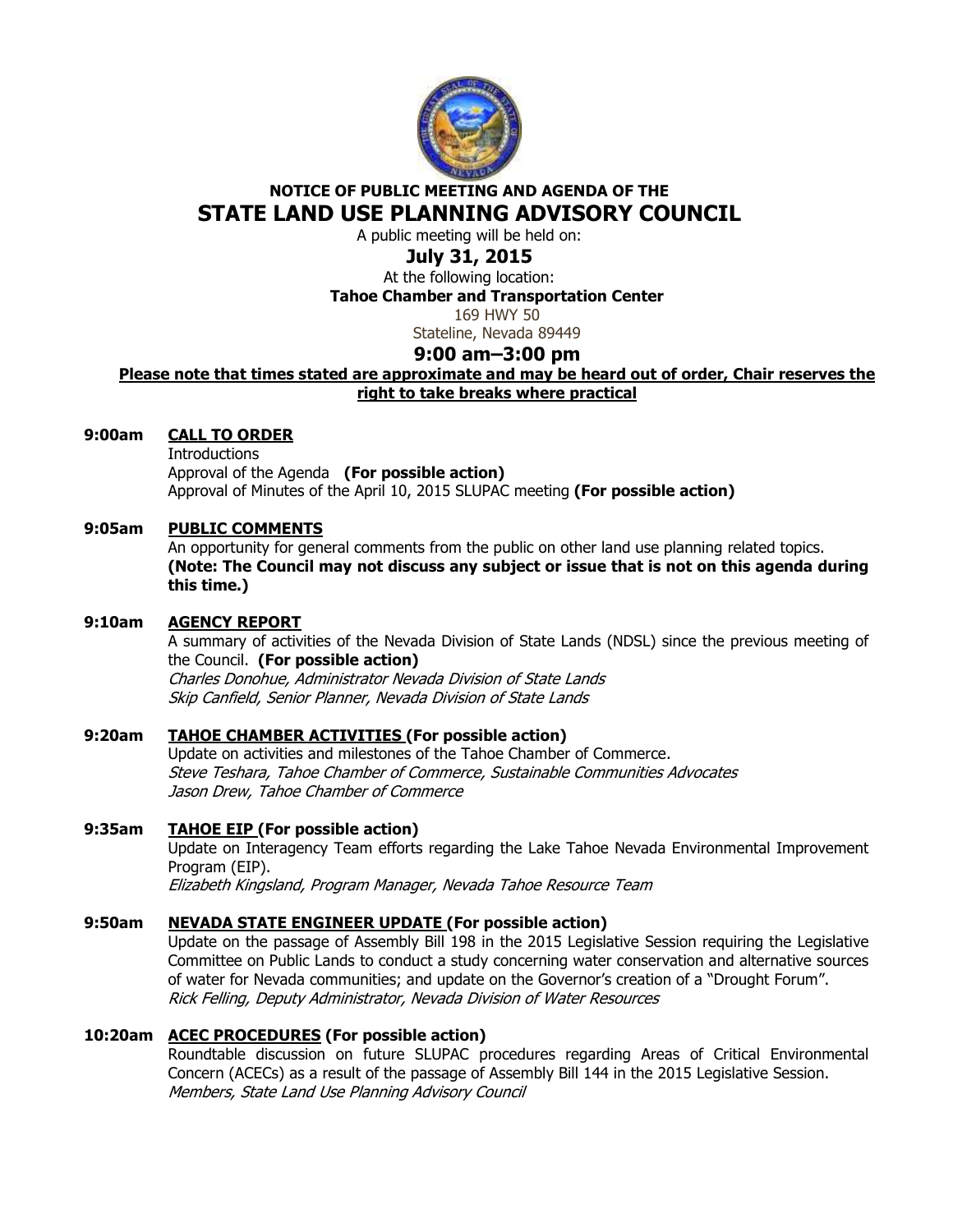

# **NOTICE OF PUBLIC MEETING AND AGENDA OF THE STATE LAND USE PLANNING ADVISORY COUNCIL**

A public meeting will be held on:

# **July 31, 2015**

At the following location: **Tahoe Chamber and Transportation Center** 

169 HWY 50

Stateline, Nevada 89449

## **9:00 am–3:00 pm**

### **Please note that times stated are approximate and may be heard out of order, Chair reserves the right to take breaks where practical**

### **9:00am CALL TO ORDER**

 Introductions Approval of the Agenda **(For possible action)** Approval of Minutes of the April 10, 2015 SLUPAC meeting **(For possible action)** 

### **9:05am PUBLIC COMMENTS**

An opportunity for general comments from the public on other land use planning related topics. **(Note: The Council may not discuss any subject or issue that is not on this agenda during this time.)** 

## **9:10am AGENCY REPORT**

A summary of activities of the Nevada Division of State Lands (NDSL) since the previous meeting of the Council. **(For possible action)** Charles Donohue, Administrator Nevada Division of State Lands Skip Canfield, Senior Planner, Nevada Division of State Lands

## **9:20am TAHOE CHAMBER ACTIVITIES (For possible action)**

Update on activities and milestones of the Tahoe Chamber of Commerce. Steve Teshara, Tahoe Chamber of Commerce, Sustainable Communities Advocates Jason Drew, Tahoe Chamber of Commerce

## **9:35am TAHOE EIP (For possible action)**

Update on Interagency Team efforts regarding the Lake Tahoe Nevada Environmental Improvement Program (EIP).

Elizabeth Kingsland, Program Manager, Nevada Tahoe Resource Team

### **9:50am NEVADA STATE ENGINEER UPDATE (For possible action)**

 Update on the passage of Assembly Bill 198 in the 2015 Legislative Session requiring the Legislative Committee on Public Lands to conduct a study concerning water conservation and alternative sources of water for Nevada communities; and update on the Governor's creation of a "Drought Forum". Rick Felling, Deputy Administrator, Nevada Division of Water Resources

### **10:20am ACEC PROCEDURES (For possible action)**

 Roundtable discussion on future SLUPAC procedures regarding Areas of Critical Environmental Concern (ACECs) as a result of the passage of Assembly Bill 144 in the 2015 Legislative Session. Members, State Land Use Planning Advisory Council